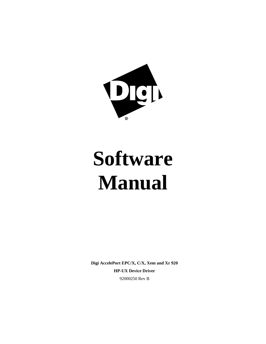

# **Software Manual**

**Digi AccelePort EPC/X, C/X, Xem and Xr 920 HP-UX Device Driver** 92000250 Rev B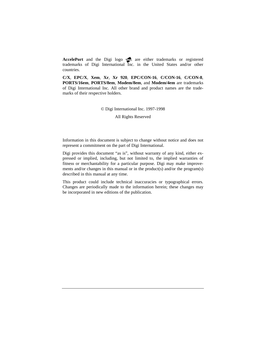AccelePort and the Digi logo **and the Digi logo are either trademarks** or registered trademarks of Digi International Inc. in the United States and/or other countries.

**C/X**, **EPC/X**, **Xem**, **Xr**, **Xr 920**, **EPC/CON-16**, **C/CON-16**, **C/CON-8**, **PORTS/16em**, **PORTS/8em**, **Modem/8em**, and **Modem/4em** are trademarks of Digi International Inc. All other brand and product names are the trademarks of their respective holders.

© Digi International Inc. 1997-1998

All Rights Reserved

Information in this document is subject to change without notice and does not represent a commitment on the part of Digi International.

Digi provides this document "as is", without warranty of any kind, either expressed or implied, including, but not limited to, the implied warranties of fitness or merchantability for a particular purpose. Digi may make improvements and/or changes in this manual or in the product(s) and/or the program(s) described in this manual at any time.

This product could include technical inaccuracies or typographical errors. Changes are periodically made to the information herein; these changes may be incorporated in new editions of the publication.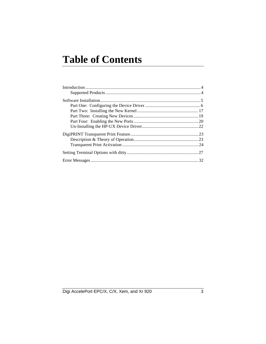# **Table of Contents**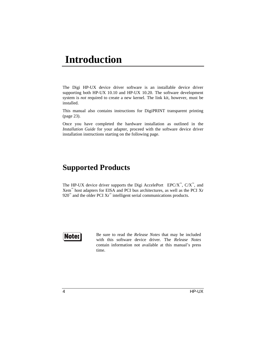# **Introduction**

The Digi HP-UX device driver software is an installable device driver supporting both HP-UX 10.10 and HP-UX 10.20. The software development system is *not* required to create a new kernel. The link kit, however, must be installed.

This manual also contains instructions for DigiPRINT transparent printing (page 23).

Once you have completed the hardware installation as outlined in the *Installation Guide* for your adapter, proceed with the software device driver installation instructions starting on the following page.

### **Supported Products**

The HP-UX device driver supports the Digi AccelePort<sup>®</sup> EPC/X<sup>™</sup>, C/X<sup>™</sup>, and Xem™ host adapters for EISA and PCI bus architectures, as well as the PCI Xr 920<sup>™</sup> and the older PCI Xr<sup>™</sup> intelligent serial communications products.

# **Note:**

Be sure to read the *Release Notes* that may be included with this software device driver. The *Release Notes* contain information not available at this manual's press time.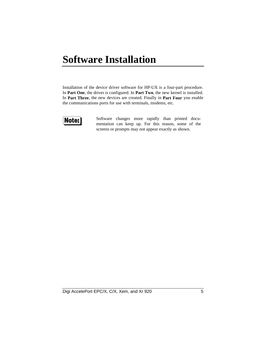# **Software Installation**

Installation of the device driver software for HP-UX is a four-part procedure. In **Part One**, the driver is configured. In **Part Two**, the new kernel is installed. In **Part Three**, the new devices are created. Finally in **Part Four** you enable the communications ports for use with terminals, modems, etc.



Software changes more rapidly than printed documentation can keep up. For this reason, some of the screens or prompts may not appear exactly as shown.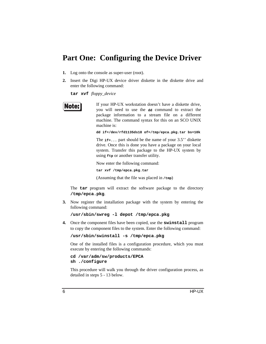### **Part One: Configuring the Device Driver**

- **1.** Log onto the console as super-user (root).
- **2.** Insert the Digi HP-UX device driver diskette in the diskette drive and enter the following command:

**tar xvf** *floppy\_device*

If your HP-UX workstation doesn't have a diskette drive, you will need to use the **dd** command to extract the package information to a stream file on a different machine. The command syntax for this on an SCO UNIX machine is:

**dd if=/dev/rfd1135ds18 of=/tmp/epca.pkg.tar bs=10k**

The **if=...** part should be the name of your 3.5'' diskette drive. Once this is done you have a package on your local system. Transfer this package to the HP-UX system by using **ftp** or another transfer utility.

Now enter the following command:

**tar xvf /tmp/epca.pkg.tar**

(Assuming that the file was placed in **/tmp**)

The **tar** program will extract the software package to the directory **/tmp/epca.pkg**.

**3.** Now register the installation package with the system by entering the following command:

**/usr/sbin/swreg -l depot /tmp/epca.pkg**

**4.** Once the component files have been copied, use the **swinstall** program to copy the component files to the system. Enter the following command:

**/usr/sbin/swinstall -s /tmp/epca.pkg**

One of the installed files is a configuration procedure, which you must execute by entering the following commands:

**cd /var/adm/sw/products/EPCA sh ./configure**

This procedure will walk you through the driver configuration process, as detailed in steps 5 - 13 below.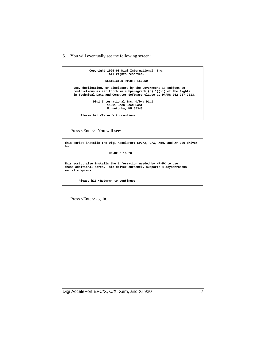**5.** You will eventually see the following screen:



Press <Enter>. You will see:

**This script installs the Digi AccelePort EPC/X, C/X, Xem, and Xr 920 driver for: HP-UX B.10.20 This script also installs the information needed by HP-UX to use these additional ports. This driver currently supports 4 asynchronous serial adapters. Please hit <Return> to continue:**

Press <Enter> again.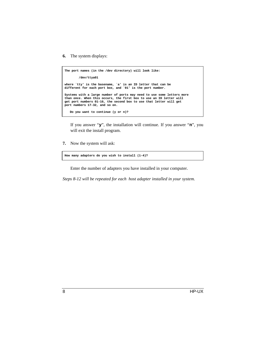**6.** The system displays:

**The port names (in the /dev directory) will look like: /dev/ttya01 where `tty' is the basename, `a' is an ID letter that can be different for each port box, and `01' is the port number. Systems with a large number of ports may need to use some letters more than once. When this occurs, the first box to use an ID letter will get port numbers 01-16, the second box to use that letter will get port numbers 17-32, and so on. Do you want to continue (y or n)?**

If you answer "**y**", the installation will continue. If you answer "**n**", you will exit the install program.

**7.** Now the system will ask:

**How many adapters do you wish to install (1-4)?**

Enter the number of adapters you have installed in your computer.

*Steps 8-12 will be repeated for each host adapter installed in your system.*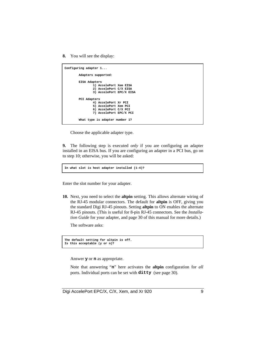**8.** You will see the display:

```
Configuring adapter 1...
         Adapters supported:
         EISA Adapters
                 1) AccelePort Xem EISA
                 2) AccelePort C/X EISA
                 3) AccelePort EPC/X EISA
         PCI Adapters
                 4) AccelePort Xr PCI
                 5) AccelePort Xem PCI
                 6) AccelePort C/X PCI
                 7) AccelePort EPC/X PCI
         What type is adapter number 1?
```
Choose the applicable adapter type.

**9.** The following step is executed *only* if you are configuring an adapter installed in an EISA bus. If you are configuring an adapter in a PCI bus, go on to step 10; otherwise, you will be asked:

**In what slot is host adapter installed (1-4)?**

Enter the slot number for your adapter.

**10.** Next, you need to select the **altpin** setting. This allows alternate wiring of the RJ-45 modular connectors. The default for **altpin** is OFF, giving you the standard Digi RJ-45 pinouts. Setting **altpin** to ON enables the alternate RJ-45 pinouts. (This is useful for 8-pin RJ-45 connectors. See the *Installation Guide* for your adapter, and page 30 of this manual for more details.)

The software asks:

```
The default setting for altpin is off.
Is this acceptable (y or n)?
```
Answer **y** or **n** as appropriate.

Note that answering "**n**" here activates the **altpin** configuration for *all* ports. Individual ports can be set with **ditty** (see page 30).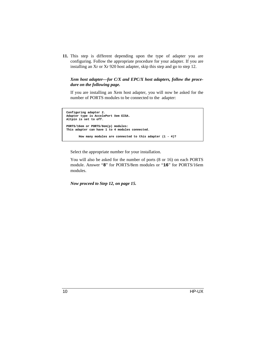**11.** This step is different depending upon the type of adapter you are configuring. Follow the appropriate procedure for your adapter. If you are installing an Xr or Xr 920 host adapter, skip this step and go to step 12.

### *Xem host adapter—for C/X and EPC/X host adapters, follow the procedure on the following page.*

If you are installing an Xem host adapter, you will now be asked for the number of PORTS modules to be connected to the adapter:

```
 Configuring adapter 2.
 Adapter type is AccelePort Xem EISA.
 Altpin is set to off.
 PORTS/16em or PORTS/8em(p) modules:
 This adapter can have 1 to 4 modules connected.
        How many modules are connected to this adapter (1 - 4)?
```
Select the appropriate number for your installation.

You will also be asked for the number of ports (8 or 16) on each PORTS module. Answer "**8**" for PORTS/8em modules or "**16**" for PORTS/16em modules.

*Now proceed to Step 12, on page 15.*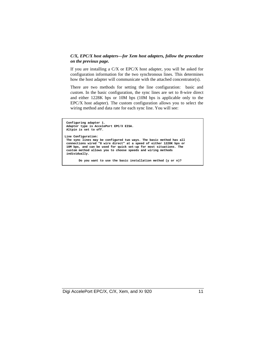### *C/X, EPC/X host adapters—for Xem host adapters, follow the procedure on the previous page.*

If you are installing a C/X or EPC/X host adapter, you will be asked for configuration information for the two synchronous lines. This determines how the host adapter will communicate with the attached concentrator(s).

There are two methods for setting the line configuration: basic and *custom*. In the basic configuration, the sync lines are set to 8-wire direct and either 1228K bps or 10M bps (10M bps is applicable only to the EPC/X host adapter). The custom configuration allows you to select the wiring method and data rate for each sync line. You will see:

```
 Configuring adapter 1.
 Adapter type is AccelePort EPC/X EISA.
 Altpin is set to off.
Line Configuration:
 The sync lines may be configured two ways. The basic method has all
 connections wired "8 wire direct" at a speed of either 1228K bps or
 10M bps, and can be used for quick set-up for most situations. The
 custom method allows you to choose speeds and wiring methods
 individually.
```
 **Do you want to use the basic installation method (y or n)?**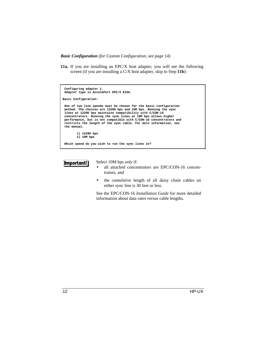*Basic Configuration (for Custom Configuration, see page 14)*

**11a.** If you are installing an EPC/X host adapter, you will see the following screen (if you are installing a C/X host adapter, skip to Step **11b**):

```
 Configuring adapter 1.
  Adapter type is AccelePort EPC/X EISA.
Basic Configuration:
 One of two line speeds must be chosen for the basic configuration
  method. The choices are 1228K bps and 10M bps. Running the sync
 lines at 1228K bps maintains compatibility with C/CON-16
 concentrators. Running the sync lines at 10M bps allows higher
  performance, but is not compatible with C/CON-16 concentrators and
  restricts the length of the sync cable. For more information, see
  the manual.
          1) 1228K bps
          2) 10M bps
  Which speed do you wish to run the sync lines at?
```


Select 10M bps *only* if:

- all attached concentrators are EPC/CON-16 concentrators, and
- the *cumulative* length of all daisy chain cables on either sync line is 30 feet or less.

See the EPC/CON-16 *Installation Guide* for more detailed information about data rates versus cable lengths.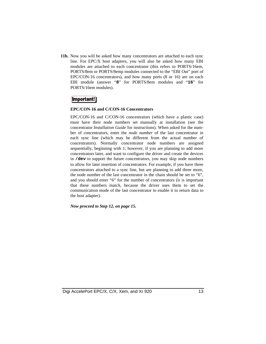**11b.** Now you will be asked how many concentrators are attached to each sync line. For EPC/X host adapters, you will also be asked how many EBI modules are attached to each concentrator (this refers to PORTS/16em, PORTS/8em or PORTS/8emp modules connected to the "EBI Out" port of EPC/CON-16 concentrators), and how many ports (8 or 16) are on each EBI module (answer "**8**" for PORTS/8em modules and "**16**" for PORTS/16em modules).

### **Important!**

### **EPC/CON-16 and C/CON-16 Concentrators**

EPC/CON-16 and C/CON-16 concentrators (which have a plastic case) must have their node numbers set manually at installation (see the concentrator *Installation Guide* for instructions). When asked for the number of concentrators, enter the *node number* of the last concentrator in each sync line (which may be different from the actual number of concentrators). Normally concentrator node numbers are assigned sequentially, beginning with 1; however, if you are planning to add more concentrators later, and want to configure the driver and create the devices in **/dev** to support the future concentrators, you may skip node numbers to allow for later insertion of concentrators. For example, if you have three concentrators attached to a sync line, but are planning to add three more, the node number of the last concentrator in the chain should be set to "6", and you should enter "6" for the number of concentrators (it is important that these numbers match, because the driver uses them to set the communication mode of the last concentrator to enable it to return data to the host adapter).

*Now proceed to Step 12, on page 15.*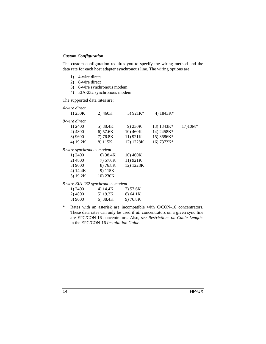### *Custom Configuration*

The custom configuration requires you to specify the wiring method and the data rate for each host adapter synchronous line. The wiring options are:

- 1) 4-wire direct
- 2) 8-wire direct
- 3) 8-wire synchronous modem
- 4) EIA-232 synchronous modem

The supported data rates are:

| 4-wire direct<br>1) $230K$       | 2)460K     | 3) $921K*$ | 4) 1843K*    |           |
|----------------------------------|------------|------------|--------------|-----------|
| 8-wire direct                    |            |            |              |           |
| 1) 2400                          | 5) 38.4K   | 9) $230K$  | 13) $1843K*$ | $17)10M*$ |
| 2) 4800                          | 6) 57.6K   | 10) 460K   | 14) 2458K*   |           |
| 3) 9600                          | 7) 76.8K   | 11) 921K   | 15) 3686K*   |           |
| 4) 19.2K                         | 8) 115K    | 12) 1228K  | 16) 7373K*   |           |
| 8-wire synchronous modem         |            |            |              |           |
| 1) 2400                          | $6)$ 38.4K | 10) 460K   |              |           |
| 2) 4800                          | 7) 57.6K   | 11) 921K   |              |           |
| 3) 9600                          | 8) 76.8K   | 12) 1228K  |              |           |
| 4) 14.4K                         | 9) 115K    |            |              |           |
| 5) $19.2K$                       | 10) 230K   |            |              |           |
| 8-wire EIA-232 synchronous modem |            |            |              |           |

| 1) 2400 | 4) 14.4K | 7) 57.6K |
|---------|----------|----------|
| 2) 4800 | 5) 19.2K | 8) 64.1K |
| 3) 9600 | 6) 38.4K | 9) 76.8K |

\* Rates with an asterisk are incompatible with C/CON-16 concentrators. These data rates can only be used if *all* concentrators on a given sync line are EPC/CON-16 concentrators. Also, see *Restrictions on Cable Lengths* in the EPC/CON-16 *Installation Guide*.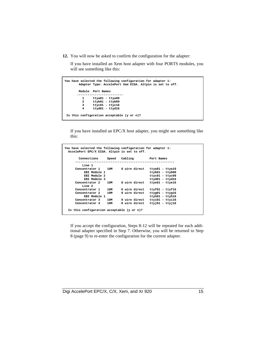**12.** You will now be asked to confirm the configuration for the adapter:

If you have installed an Xem host adapter with four PORTS modules, you will see something like this:

```
You have selected the following configuration for adapter 1:
          Adapter Type: AccelePort Xem EISA. Altpin is set to off.
          Module Port Names
         --------------------------
 1 ttya01 - ttya08
 2 ttyb01 - ttyb09
 3 ttyc01 - ttyc16
 4 ttyd01 - ttyd16
  Is this configuration acceptable (y or n)?
```
If you have installed an EPC/X host adapter, you might see something like this:

| You have selected the following configuration for adapter 1:<br>AccelePort EPC/X EISA. Altpin is set to off. |                  |               |                           |
|--------------------------------------------------------------------------------------------------------------|------------------|---------------|---------------------------|
| Connections                                                                                                  | Cabling<br>Speed | Port Names    |                           |
| Line 1                                                                                                       |                  |               |                           |
| Concentrator 1 10M                                                                                           |                  | 8 wire direct | ttya01 - ttya16           |
| EBI Module 1                                                                                                 |                  |               | $ttyb01 - ttyb08$         |
| EBI Module 2                                                                                                 |                  |               | $ttyc01 - ttyc09$         |
| EBI Module 3                                                                                                 |                  |               | ttyd01 - ttyd16           |
| Concentrator 2                                                                                               | 10M              | 8 wire direct | ttye01 - ttye16           |
| Line 2                                                                                                       |                  |               |                           |
| Concentrator 1                                                                                               | 10M              | 8 wire direct | $ttyf01 - ttyf16$         |
| Concentrator 2                                                                                               | 10M              | 8 wire direct | $t$ tyg $01 - t$ tyg $16$ |
| EBI Module 1                                                                                                 |                  |               | $t$ tyh $01 - t$ tyh $16$ |
| Concentrator 3                                                                                               | 10M              | 8 wire direct | ttyi01 - ttyi16           |
| Concentrator 4                                                                                               | 10M              | 8 wire direct | $ttyj01 - ttyj16$         |
| Is this configuration acceptable $(y \text{ or } n)$ ?                                                       |                  |               |                           |

If you accept the configuration, Steps 8-12 will be repeated for each additional adapter specified in Step 7. Otherwise, you will be returned to Step 8 (page 9) to re-enter the configuration for the current adapter.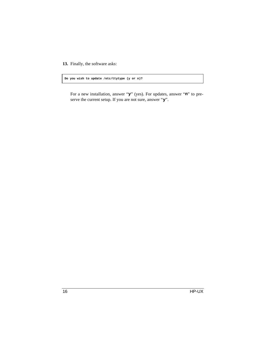**13.** Finally, the software asks:

**Do you wish to update /etc/ttytype (y or n)?**

For a new installation, answer "**y**" (yes). For updates, answer "**n**" to preserve the current setup. If you are not sure, answer "**y**".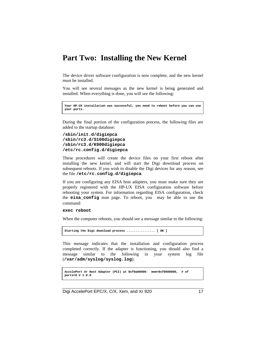### **Part Two: Installing the New Kernel**

The device driver software configuration is now complete, and the new kernel must be installed.

You will see several messages as the new kernel is being generated and installed. When everything is done, you will see the following:

```
Your HP-UX installation was successful; you need to reboot before you can use
your ports.
```
During the final portion of the configuration process, the following files are added to the startup database:

```
/sbin/init.d/digiepca
/sbin/rc3.d/S100digiepca
/sbin/rc3.d/K900digiepca
/etc/rc.config.d/digiepca
```
These procedures will create the device files on your first reboot after installing the new kernel, and will start the Digi download process on subsequent reboots. If you wish to disable the Digi devices for any reason, see the file **/etc/rc.config.d/digiepca**.

If you are configuring any EISA host adapters, you must make sure they are properly registered with the HP-UX EISA configuration software before rebooting your system. For information regarding EISA configuration, check the **eisa\_config** man page. To reboot, you may be able to use the command:

### **exec reboot**

When the computer reboots, you should see a message similar to the following:

```
Starting the Digi download process ................ [ OK ]
```
This message indicates that the installation and configuration process completed correctly. If the adapter is functioning, you should also find a message similar to the following in your system log file (**/var/adm/syslog/syslog.log**):

```
AccelePort Xr Host Adapter (PCI) at 0xf0a00000: mem=0xf0800000, # of
ports=8 V 1.0.0
```
Digi AccelePort EPC/X, C/X, Xem, and Xr 920 17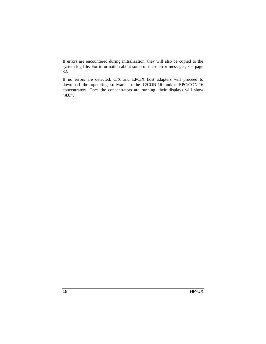If errors are encountered during initialization, they will also be copied to the system log file. For information about some of these error messages, see page 32.

If no errors are detected, C/X and EPC/X host adapters will proceed to download the operating software to the C/CON-16 and/or EPC/CON-16 concentrators. Once the concentrators are running, their displays will show "**AC**".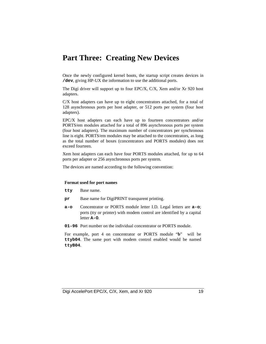# **Part Three: Creating New Devices**

Once the newly configured kernel boots, the startup script creates devices in **/dev**, giving HP-UX the information to use the additional ports.

The Digi driver will support up to four EPC/X, C/X, Xem and/or Xr 920 host adapters.

C/X host adapters can have up to eight concentrators attached, for a total of 128 asynchronous ports per host adapter, or 512 ports per system (four host adapters).

EPC/X host adapters can each have up to fourteen concentrators and/or PORTS/em modules attached for a total of 896 asynchronous ports per system (four host adapters). The maximum number of concentrators per synchronous line is eight. PORTS/em modules may be attached to the concentrators, as long as the total number of boxes (concentrators and PORTS modules) does not exceed fourteen.

Xem host adapters can each have four PORTS modules attached, for up to 64 ports per adapter or 256 asynchronous ports per system.

The devices are named according to the following convention:

### **Format used for port names**

- **tty** Base name.
- **pr** Base name for DigiPRINT transparent printing.
- **a-o** Concentrator or PORTS module letter I.D. Legal letters are **a-o**; ports (tty or printer) with modem control are identified by a capital letter **A-O**.
- **01-96** Port number on the individual concentrator or PORTS module.

For example, port 4 on concentrator or PORTS module "**b**" will be **ttyb04**. The same port with modem control enabled would be named **ttyB04**.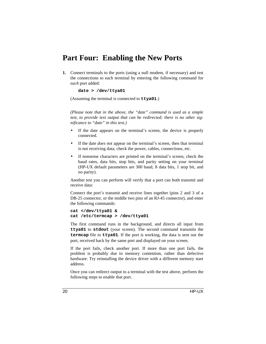### **Part Four: Enabling the New Ports**

**1.** Connect terminals to the ports (using a null modem, if necessary) and test the connections to each terminal by entering the following command for *each* port added:

```
date > /dev/ttya01
```
(Assuming the terminal is connected to **ttya01**.)

*(Please note that in the above, the "date" command is used as a simple test, to provide text output that can be redirected; there is no other significance to "date" in this test.)*

- If the date appears on the terminal's screen, the device is properly connected.
- If the date *does not* appear on the terminal's screen, then that terminal is not receiving data; check the power, cables, connections, etc.
- If nonsense characters are printed on the terminal's screen, check the baud rates, data bits, stop bits, and parity setting on your terminal (HP-UX default parameters are 300 baud, 8 data bits, 1 stop bit, and no parity).

Another test you can perform will verify that a port can both transmit and receive data:

Connect the port's transmit and receive lines together (pins 2 and 3 of a DB-25 connector, or the middle two pins of an RJ-45 connector), and enter the following commands:

```
cat </dev/ttya01 &
cat /etc/termcap > /dev/ttya01
```
The first command runs in the background, and directs all input from **ttya01** to **stdout** (your screen). The second command transmits the **termcap** file to **ttya01**. If the port is working, the data is sent out the port, received back by the same port and displayed on your screen.

If the port fails, check another port. If more than one port fails, the problem is probably due to memory contention, rather than defective hardware. Try reinstalling the device driver with a different memory start address.

Once you can redirect output to a terminal with the test above, perform the following steps to enable that port.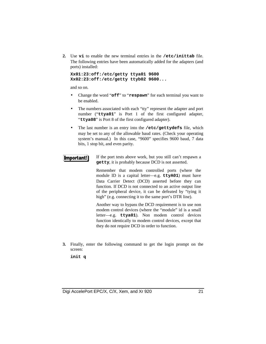**2.** Use **vi** to enable the new terminal entries in the **/etc/inittab** file. The following entries have been automatically added for the adapters (and ports) installed:

```
Xx01:23:off:/etc/getty ttya01 9600
Xx02:23:off:/etc/getty ttyb02 9600...
```
and so on.

- Change the word "**off**" to "**respawn**" for each terminal you want to be enabled.
- The numbers associated with each "tty" represent the adapter and port number ("**ttya01**" is Port 1 of the first configured adapter, "**ttya08**" is Port 8 of the first configured adapter).
- The last number is an entry into the **/etc/gettydefs** file, which may be set to any of the allowable baud rates. (Check your operating system's manual.) In this case, "9600" specifies 9600 baud, 7 data bits, 1 stop bit, and even parity.

#### If the port tests above work, but you still can't respawn a **Important! getty**, it is probably because DCD is not asserted.

Remember that modem controlled ports (where the module ID is a capital letter—e.g. **ttyA01**) must have Data Carrier Detect (DCD) asserted before they can function. If DCD is not connected to an active output line of the peripheral device, it can be defeated by "tying it high" (e.g. connecting it to the same port's DTR line).

Another way to bypass the DCD requirement is to use non modem control devices (where the "module" id is a small letter—e.g. **ttya01**). Non modem control devices function identically to modem control devices, except that they do not require DCD in order to function.

**3.** Finally, enter the following command to get the login prompt on the screen:

**init q**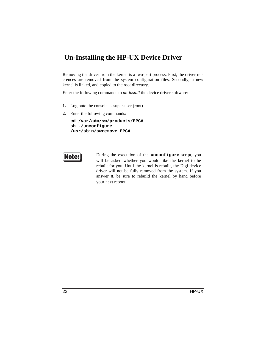### **Un-Installing the HP-UX Device Driver**

Removing the driver from the kernel is a two-part process. First, the driver references are removed from the system configuration files. Secondly, a new kernel is linked, and copied to the root directory.

Enter the following commands to *un-install* the device driver software:

- **1.** Log onto the console as super-user (root).
- **2.** Enter the following commands:

```
cd /var/adm/sw/products/EPCA
sh ./unconfigure
/usr/sbin/swremove EPCA
```


During the execution of the **unconfigure** script, you will be asked whether you would like the kernel to be rebuilt for you. Until the kernel is rebuilt, the Digi device driver will not be fully removed from the system. If you answer **n**, be sure to rebuild the kernel by hand before your next reboot.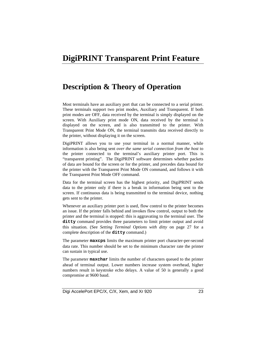# **DigiPRINT Transparent Print Feature**

### **Description & Theory of Operation**

Most terminals have an auxiliary port that can be connected to a serial printer. These terminals support two print modes, Auxiliary and Transparent. If both print modes are OFF, data received by the terminal is simply displayed on the screen. With Auxiliary print mode ON, data received by the terminal is displayed on the screen, and is also transmitted to the printer. With Transparent Print Mode ON, the terminal transmits data received directly to the printer, without displaying it on the screen.

DigiPRINT allows you to use your terminal in a normal manner, while information is also being sent *over the same serial connection from the host* to the printer connected to the terminal's auxiliary printer port. This is "transparent printing". The DigiPRINT software determines whether packets of data are bound for the screen or for the printer, and precedes data bound for the printer with the Transparent Print Mode ON command, and follows it with the Transparent Print Mode OFF command.

Data for the terminal screen has the highest priority, and DigiPRINT sends data to the printer only if there is a break in information being sent to the screen. If continuous data is being transmitted to the terminal device, nothing gets sent to the printer.

Whenever an auxiliary printer port is used, flow control to the printer becomes an issue. If the printer falls behind and invokes flow control, output to both the printer and the terminal is stopped: this is aggravating to the terminal user. The **ditty** command provides three parameters to limit printer output and avoid this situation. (See *Setting Terminal Options with ditty* on page 27 for a complete description of the **ditty** command.)

The parameter **maxcps** limits the maximum printer port character-per-second data rate. This number should be set to the minimum character rate the printer can sustain in typical use.

The parameter **maxchar** limits the number of characters queued to the printer ahead of terminal output. Lower numbers increase system overhead, higher numbers result in keystroke echo delays. A value of 50 is generally a good compromise at 9600 baud.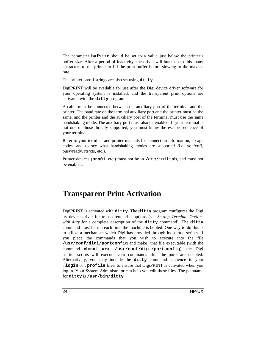The parameter **bufsize** should be set to a value just below the printer's buffer size. After a period of inactivity, the driver will burst up to this many characters to the printer to fill the print buffer before slowing to the maxcps rate.

The printer on/off strings are also set using **ditty**.

DigiPRINT will be available for use after the Digi device driver software for your operating system is installed, and the transparent print options are activated with the **ditty** program.

A cable must be connected between the auxiliary port of the terminal and the printer. The baud rate on the terminal auxiliary port and the printer must be the same, and the printer and the auxiliary port of the terminal must use the same handshaking mode. The auxiliary port must also be enabled. If your terminal is not one of those directly supported, you must know the escape sequence of your terminal.

Refer to your terminal and printer manuals for connection information, escape codes, and to see what handshaking modes are supported (i.e. xon/xoff, busy/ready, rts/cts, etc.).

Printer devices (**pra01**, etc.) must not be in **/etc/inittab**, and must not be enabled.

# **Transparent Print Activation**

DigiPRINT is activated with **ditty**. The **ditty** program configures the Digi tty device driver for transparent print options (see *Setting Terminal Options with ditty* for a complete description of the **ditty** command). The **ditty** command must be run each time the machine is booted. One way to do this is to utilize a mechanism which Digi has provided through its startup scripts. If you place the commands that you wish to execute into the file **/usr/conf/digi/portconfig** and make that file executable (with the command **chmod u+x /usr/conf/digi/portconfig**), the Digi startup scripts will execute your commands after the ports are enabled. Alternatively, you may include the **ditty** command sequence in your **.login** or **.profile** files, to ensure that DigiPRINT is activated when you log in. Your System Administrator can help you edit these files. The pathname for **ditty** is **/usr/bin/ditty**.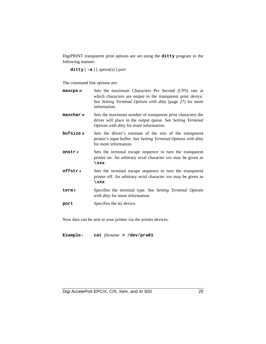DigiPRINT transparent print options are set using the **ditty** program in the following manner:

**ditty** [ **-a** ] [ *option(s)* ] *port*

The command line options are:

| maxeps n  | Sets the maximum Characters Per Second (CPS) rate at<br>which characters are output to the transparent print device.<br>See Setting Terminal Options with ditty (page 27) for more<br>information. |
|-----------|----------------------------------------------------------------------------------------------------------------------------------------------------------------------------------------------------|
| maxchar n | Sets the maximum number of transparent print characters the<br>driver will place in the output queue. See Setting Terminal<br><i>Options with ditty</i> for more information.                      |
| bufsize n | Sets the driver's estimate of the size of the transparent<br>printer's input buffer. See Setting Terminal Options with ditty<br>for more information.                                              |
| onstr s   | Sets the terminal escape sequence to turn the transparent<br>printer on. An arbitrary octal character xxx may be given as<br>$\chi$ xxx.                                                           |
| offstrs   | Sets the terminal escape sequence to turn the transparent<br>printer off. An arbitrary octal character xxx may be given as<br>$\chi$ xxx.                                                          |
| term $t$  | Specifies the terminal type. See Setting Terminal Options<br>with ditty for more information.                                                                                                      |
| port      | Specifies the tty device.                                                                                                                                                                          |

Now data can be sent to your printer via the printer devices.

**Example: cat** *filename* **> /dev/pra01**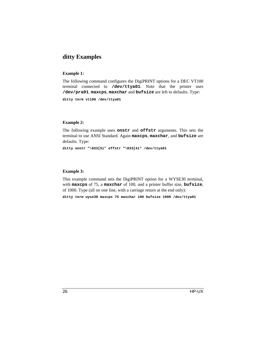### **ditty Examples**

### **Example 1:**

The following command configures the DigiPRINT options for a DEC VT100 terminal connected to **/dev/ttya01**. Note that the printer uses **/dev/pra01**. **maxcps**, **maxchar** and **bufsize** are left to defaults. Type:

**ditty term vt100 /dev/ttya01**

### **Example 2:**

The following example uses **onstr** and **offstr** arguments. This sets the terminal to use ANSI Standard. Again **maxcps**, **maxchar**, and **bufsize** are defaults. Type:

**ditty onstr "\033[5i" offstr "\033[4i" /dev/ttya01**

### **Example 3:**

This example command sets the DigiPRINT option for a WYSE30 terminal, with **maxcps** of 75, a **maxchar** of 100, and a printer buffer size, **bufsize**, of 1000. Type (all on one line, with a carriage return at the end only):

**ditty term wyse30 maxcps 75 maxchar 100 bufsize 1000 /dev/ttya01**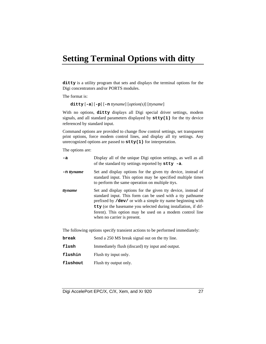# **Setting Terminal Options with ditty**

**ditty** is a utility program that sets and displays the terminal options for the Digi concentrators and/or PORTS modules.

The format is:

**ditty** [**-a**] [**-p**] [**-n** *ttyname*] [*option(s)*] [*ttyname*]

With no options, **ditty** displays all Digi special driver settings, modem signals, and all standard parameters displayed by **stty(1)** for the tty device referenced by standard input.

Command options are provided to change flow control settings, set transparent print options, force modem control lines, and display all tty settings. Any unrecognized options are passed to **stty(1)** for interpretation.

The options are:

| -a            | Display all of the unique Digi option settings, as well as all<br>of the standard tty settings reported by $\texttt{stty}$ -a.                                                                                                                                                                                                                       |
|---------------|------------------------------------------------------------------------------------------------------------------------------------------------------------------------------------------------------------------------------------------------------------------------------------------------------------------------------------------------------|
| $-$ n ttyname | Set and display options for the given tty device, instead of<br>standard input. This option may be specified multiple times<br>to perform the same operation on multiple ttys.                                                                                                                                                                       |
| ttyname       | Set and display options for the given tty device, instead of<br>standard input. This form can be used with a tty pathname<br>prefixed by /dev/ or with a simple tty name beginning with<br>tty (or the basename you selected during installation, if dif-<br>ferent). This option may be used on a modem control line<br>when no carrier is present. |

The following options specify transient actions to be performed immediately:

| break    | Send a 250 MS break signal out on the tty line.   |
|----------|---------------------------------------------------|
| flush    | Immediately flush (discard) tty input and output. |
| flushin  | Flush tty input only.                             |
| flushout | Flush tty output only.                            |

Digi AccelePort EPC/X, C/X, Xem, and Xr 920 27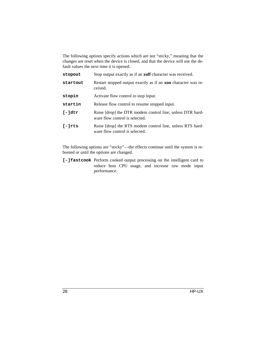The following options specify actions which are not "sticky," meaning that the changes are reset when the device is closed, and that the device will use the default values the next time it is opened.

| stopout   | Stop output exactly as if an <b>xoff</b> character was received.                            |
|-----------|---------------------------------------------------------------------------------------------|
| startout  | Restart stopped output exactly as if an <b>xon</b> character was re-<br>ceived.             |
| stopin    | Activate flow control to stop input.                                                        |
| startin   | Release flow control to resume stopped input.                                               |
| I-ldtr    | Raise [drop] the DTR modem control line, unless DTR hard-<br>ware flow control is selected. |
| $I-1$ rts | Raise [drop] the RTS modem control line, unless RTS hard-<br>ware flow control is selected. |

The following options are "sticky"—the effects continue until the system is rebooted or until the options are changed.

**[-]fastcook** Perform cooked output processing on the intelligent card to reduce host CPU usage, and increase raw mode input performance.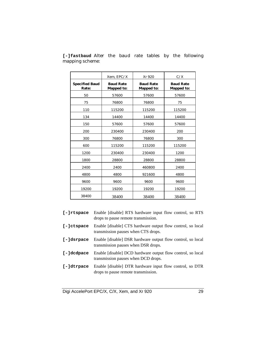|                                | Xem, EPC/X                            | Xr 920                         | C/X                                   |
|--------------------------------|---------------------------------------|--------------------------------|---------------------------------------|
| <b>Specified Baud</b><br>Rate: | <b>Baud Rate</b><br><b>Mapped to:</b> | <b>Baud Rate</b><br>Mapped to: | <b>Baud Rate</b><br><b>Mapped to:</b> |
| 50                             | 57600                                 | 57600                          | 57600                                 |
| 75                             | 76800                                 | 76800                          | 75                                    |
| 110                            | 115200                                | 115200                         | 115200                                |
| 134                            | 14400                                 | 14400                          | 14400                                 |
| 150                            | 57600                                 | 57600                          | 57600                                 |
| 200                            | 230400                                | 230400                         | 200                                   |
| 300                            | 76800                                 | 76800                          | 300                                   |
| 600                            | 115200                                | 115200                         | 115200                                |
| 1200                           | 230400                                | 230400                         | 1200                                  |
| 1800                           | 28800                                 | 28800                          | 28800                                 |
| 2400                           | 2400                                  | 460800                         | 2400                                  |
| 4800                           | 4800                                  | 921600                         | 4800                                  |
| 9600                           | 9600                                  | 9600                           | 9600                                  |
| 19200                          | 19200                                 | 19200                          | 19200                                 |
| 38400                          | 38400                                 | 38400                          | 38400                                 |

**[-]fastbaud** Alter the baud rate tables by the following mapping scheme:

| $[-]$ rtspace | Enable [disable] RTS hardware input flow control, so RTS<br>drops to pause remote transmission.    |
|---------------|----------------------------------------------------------------------------------------------------|
| $[-]ctspace$  | Enable [disable] CTS hardware output flow control, so local<br>transmission pauses when CTS drops. |
| [-]dsrpace    | Enable [disable] DSR hardware output flow control, so local<br>transmission pauses when DSR drops. |
| [-]dcdpace    | Enable [disable] DCD hardware output flow control, so local<br>transmission pauses when DCD drops. |
| [-]dtrpace    | Enable [disable] DTR hardware input flow control, so DTR<br>drops to pause remote transmission.    |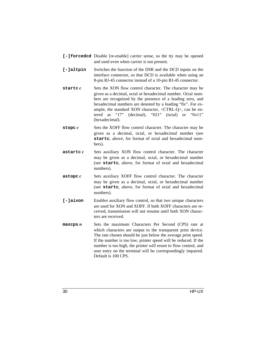- **[-]forcedcd** Disable [re-enable] carrier sense, so the tty may be opened and used even when carrier is not present.
- **[-]altpin** Switches the function of the DSR and the DCD inputs on the interface connector, so that DCD is available when using an 8-pin RJ-45 connector instead of a 10-pin RJ-45 connector.
- **startc** *c* Sets the XON flow control character. The character may be given as a decimal, octal or hexadecimal number. Octal numbers are recognized by the presence of a leading zero, and hexadecimal numbers are denoted by a leading "0x". For example, the standard XON character, <CTRL-Q>, can be entered as "17" (decimal), "021" (octal) or "0x11" (hexadecimal).
- **stopc** *c* Sets the XOFF flow control character. The character may be given as a decimal, octal, or hexadecimal number (see **startc**, above, for format of octal and hexadecimal numbers).
- **astartc** *c* Sets auxiliary XON flow control character. The character may be given as a decimal, octal, or hexadecimal number (see **startc**, above, for format of octal and hexadecimal numbers).
- **astopc** *c* Sets auxiliary XOFF flow control character. The character may be given as a decimal, octal, or hexadecimal number (see **startc**, above, for format of octal and hexadecimal numbers).
- **[-]aixon** Enables auxiliary flow control, so that two unique characters are used for XON and XOFF. If both XOFF characters are received, transmission will not resume until both XON characters are received.
- **maxcps** *n* Sets the maximum Characters Per Second (CPS) rate at which characters are output to the transparent print device. The rate chosen should be just below the average print speed. If the number is too low, printer speed will be reduced. If the number is too high, the printer will resort to flow control, and user entry on the terminal will be correspondingly impaired. Default is 100 CPS.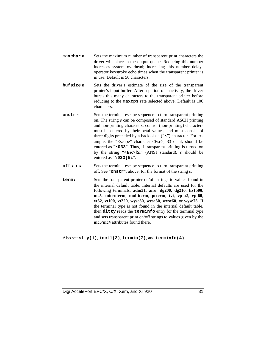- **maxchar** *n* Sets the maximum number of transparent print characters the driver will place in the output queue. Reducing this number increases system overhead; increasing this number delays operator keystroke echo times when the transparent printer is in use. Default is 50 characters.
- **bufsize** *n* Sets the driver's estimate of the size of the transparent printer's input buffer. After a period of inactivity, the driver bursts this many characters to the transparent printer before reducing to the **maxcps** rate selected above. Default is 100 characters.
- **onstr** *s* Sets the terminal escape sequence to turn transparent printing on. The string *s* can be composed of standard ASCII printing and non-printing characters; control (non-printing) characters must be entered by their octal values, and must consist of three digits preceded by a back-slash ("**\**") character. For example, the "Escape" character <Esc>, 33 octal, should be entered as "**\033**". Thus, if transparent printing is turned on by the string "**<Esc>[5i**" (ANSI standard), *s* should be entered as "**\033[5i**".
- **offstr** *s* Sets the terminal escape sequence to turn transparent printing off. See "**onstr**", above, for the format of the string *s*.
- **term** *t* Sets the transparent printer on/off strings to values found in the internal default table. Internal defaults are used for the following terminals: **adm31**, **ansi**, **dg200**, **dg210**, **hz1500**, **mc5**, **microterm**, **multiterm**, **pcterm**, **tvi**, **vp-a2**, **vp-60**, **vt52**, **vt100**, **vt220**, **wyse30**, **wyse50**, **wyse60**, or **wyse75**. If the terminal type is not found in the internal default table, then **ditty** reads the **terminfo** entry for the terminal type and sets transparent print on/off strings to values given by the **mc5**/**mc4** attributes found there.

Also see **stty(1)**, **ioctl(2)**, **termio(7)**, and **terminfo(4)**.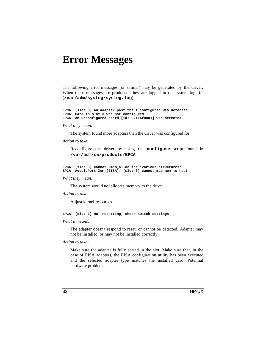# **Error Messages**

The following error messages (or similar) may be generated by the driver. When these messages are produced, they are logged in the system log file (**/var/adm/syslog/syslog.log**).

**EPCA: [slot 3] An adapter past the 1 configured was detected EPCA: Card in slot 3 was not configured EPCA: An unconfigured board [id: 0x114f0001] was detected**

#### *What they mean:*

The system found more adapters than the driver was configured for.

### *Action to take:*

Reconfigure the driver by using the **configure** script found in **/var/adm/sw/products/EPCA**.

**EPCA: [slot 3] cannot kmem\_alloc for \*various structures\* EPCA: AccelePort Xem (EISA): [slot 3] cannot map mem to host**

### *What they mean:*

The system would not allocate memory to the driver.

*Action to take:*

Adjust kernel resources.

#### **EPCA: [slot 3] NOT resetting, check switch settings**

### *What it means:*

The adapter doesn't respond to reset, or cannot be detected. Adapter may not be installed, or may not be installed correctly.

### *Action to take:*

Make sure the adapter is fully seated in the slot. Make sure that, in the case of EISA adapters, the EISA configuration utility has been executed and the selected adapter type matches the installed card. Potential hardware problem.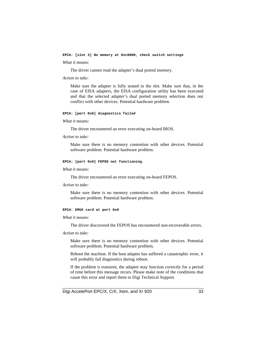**EPCA: [slot 3] No memory at 0xc0000, check switch settings**

#### *What it means:*

The driver cannot read the adapter's dual ported memory.

### *Action to take:*

Make sure the adapter is fully seated in the slot. Make sure that, in the case of EISA adapters, the EISA configuration utility has been executed and that the selected adapter's dual ported memory selection does not conflict with other devices. Potential hardware problem.

### **EPCA: [port 0x0] diagnostics failed**

### *What it means:*

The driver encountered an error executing on-board BIOS.

### *Action to take:*

Make sure there is no memory contention with other devices. Potential software problem. Potential hardware problem.

### **EPCA: [port 0x0] FEPOS not functioning.**

### *What it means:*

The driver encountered an error executing on-board FEPOS.

### *Action to take:*

Make sure there is no memory contention with other devices. Potential software problem. Potential hardware problem.

### **EPCA: EMUX card at port 0x0**

#### *What it means:*

The driver discovered the FEPOS has encountered non-recoverable errors.

### *Action to take:*

Make sure there is no memory contention with other devices. Potential software problem. Potential hardware problem.

Reboot the machine. If the host adapter has suffered a catastrophic error, it will probably fail diagnostics during reboot.

If the problem is transient, the adapter may function correctly for a period of time before this message recurs. Please make note of the conditions that cause this error and report them to Digi Technical Support.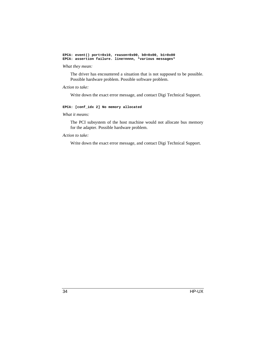**EPCA: event() port=0x10, reason=0x00, b0=0x00, b1=0x00 EPCA: assertion failure. line=nnnn, \*various messages\***

### *What they mean:*

The driver has encountered a situation that is not supposed to be possible. Possible hardware problem. Possible software problem.

### *Action to take:*

Write down the exact error message, and contact Digi Technical Support.

### **EPCA: [conf\_idx 2] No memory allocated**

### *What it means:*

The PCI subsystem of the host machine would not allocate bus memory for the adapter. Possible hardware problem.

### *Action to take:*

Write down the exact error message, and contact Digi Technical Support.